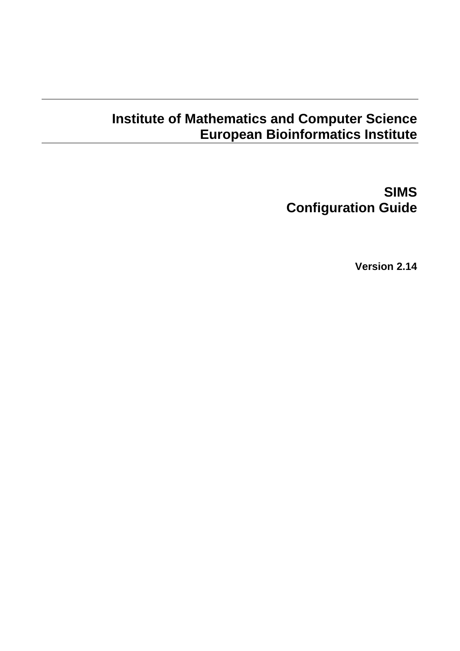# **Institute of Mathematics and Computer Science European Bioinformatics Institute**

**SIMS Configuration Guide** 

**Version 2.14**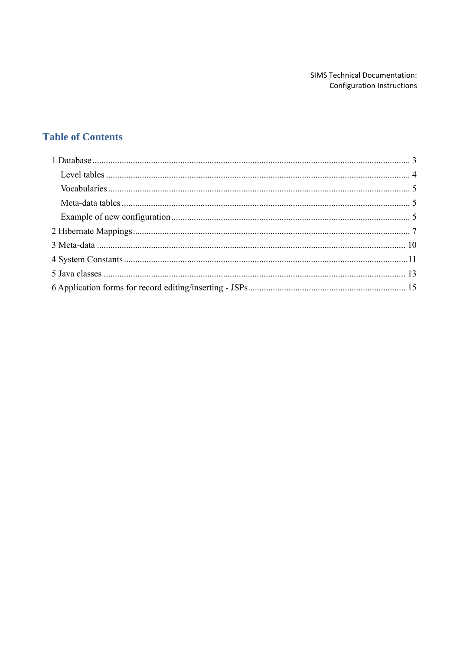# **Table of Contents**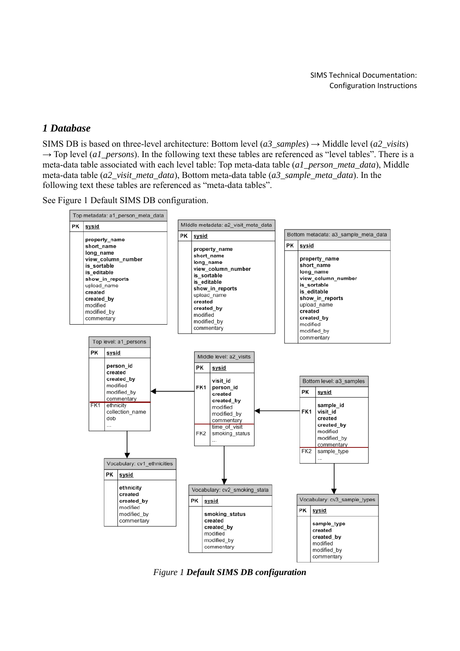### *1 Database*

SIMS DB is based on three-level architecture: Bottom level (*a3\_samples*)  $\rightarrow$  Middle level (*a2\_visits*)  $\rightarrow$  Top level (*a1\_persons*). In the following text these tables are referenced as "level tables". There is a meta-data table associated with each level table: Top meta-data table (*a1\_person\_meta\_data*), Middle meta-data table (*a2\_visit\_meta\_data*), Bottom meta-data table (*a3\_sample\_meta\_data*). In the following text these tables are referenced as "meta-data tables".

See Figure 1 Default SIMS DB configuration.



*Figure 1 Default SIMS DB configuration*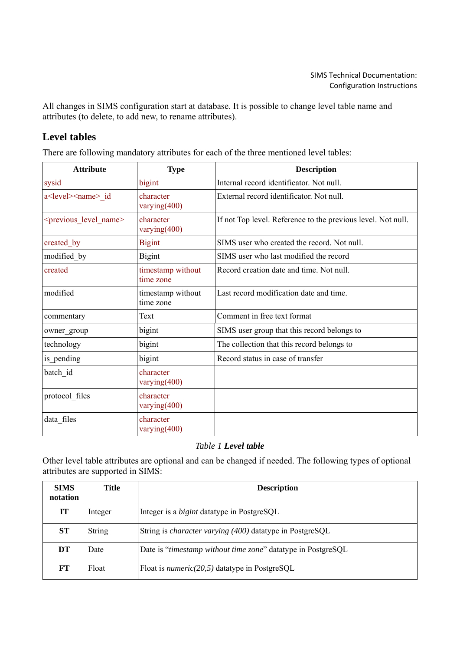All changes in SIMS configuration start at database. It is possible to change level table name and attributes (to delete, to add new, to rename attributes).

# **Level tables**

There are following mandatory attributes for each of the three mentioned level tables:

| <b>Attribute</b>                       | <b>Type</b>                    | <b>Description</b>                                           |
|----------------------------------------|--------------------------------|--------------------------------------------------------------|
| sysid                                  | bigint                         | Internal record identificator. Not null.                     |
| a <level><name> id</name></level>      | character<br>varying $(400)$   | External record identificator. Not null.                     |
| <previous level="" name=""></previous> | character<br>varying(400)      | If not Top level. Reference to the previous level. Not null. |
| created by                             | <b>Bigint</b>                  | SIMS user who created the record. Not null.                  |
| modified by                            | <b>Bigint</b>                  | SIMS user who last modified the record                       |
| created                                | timestamp without<br>time zone | Record creation date and time. Not null.                     |
| modified                               | timestamp without<br>time zone | Last record modification date and time.                      |
| commentary                             | Text                           | Comment in free text format                                  |
| owner_group                            | bigint                         | SIMS user group that this record belongs to                  |
| technology                             | bigint                         | The collection that this record belongs to                   |
| is pending                             | bigint                         | Record status in case of transfer                            |
| batch id                               | character<br>varying $(400)$   |                                                              |
| protocol files                         | character<br>varying $(400)$   |                                                              |
| data files                             | character<br>varying $(400)$   |                                                              |

# *Table 1 Level table*

Other level table attributes are optional and can be changed if needed. The following types of optional attributes are supported in SIMS:

| <b>SIMS</b><br>notation | Title   | <b>Description</b>                                                    |
|-------------------------|---------|-----------------------------------------------------------------------|
| IT                      | Integer | Integer is a <i>bigint</i> datatype in PostgreSQL                     |
| ST                      | String  | String is <i>character varying</i> (400) datatype in PostgreSQL       |
| DT                      | Date    | Date is " <i>timestamp without time zone</i> " datatype in PostgreSQL |
| <b>FT</b>               | Float   | Float is <i>numeric</i> ( $20,5$ ) datatype in PostgreSQL             |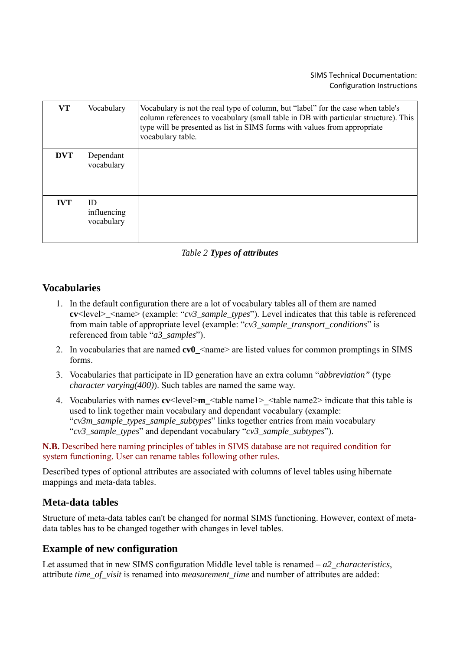| <b>VT</b>  | Vocabulary                      | Vocabulary is not the real type of column, but "label" for the case when table's<br>column references to vocabulary (small table in DB with particular structure). This<br>type will be presented as list in SIMS forms with values from appropriate<br>vocabulary table. |
|------------|---------------------------------|---------------------------------------------------------------------------------------------------------------------------------------------------------------------------------------------------------------------------------------------------------------------------|
| <b>DVT</b> | Dependant<br>vocabulary         |                                                                                                                                                                                                                                                                           |
| <b>IVT</b> | ID<br>influencing<br>vocabulary |                                                                                                                                                                                                                                                                           |

### *Table 2 Types of attributes*

# **Vocabularies**

- 1. In the default configuration there are a lot of vocabulary tables all of them are named  $cv$ <level>  $\leq$ name> (example: "*cv3\_sample\_types*"). Level indicates that this table is referenced from main table of appropriate level (example: "*cv3\_sample\_transport\_conditions*" is referenced from table "*a3\_samples*").
- 2. In vocabularies that are named **cv0**  $\leq$  name are listed values for common promptings in SIMS forms.
- 3. Vocabularies that participate in ID generation have an extra column "*abbreviation"* (type *character varying(400)*). Such tables are named the same way.
- 4. Vocabularies with names **cv**<level>**m\_**<table name1>\_<table name2> indicate that this table is used to link together main vocabulary and dependant vocabulary (example: "*cv3m\_sample\_types\_sample\_subtypes*" links together entries from main vocabulary "*cv3\_sample\_types*" and dependant vocabulary "*cv3\_sample\_subtypes*").

**N.B.** Described here naming principles of tables in SIMS database are not required condition for system functioning. User can rename tables following other rules.

Described types of optional attributes are associated with columns of level tables using hibernate mappings and meta-data tables.

# **Meta-data tables**

Structure of meta-data tables can't be changed for normal SIMS functioning. However, context of metadata tables has to be changed together with changes in level tables.

# **Example of new configuration**

Let assumed that in new SIMS configuration Middle level table is renamed – *a2\_characteristics*, attribute *time\_of\_visit* is renamed into *measurement\_time* and number of attributes are added: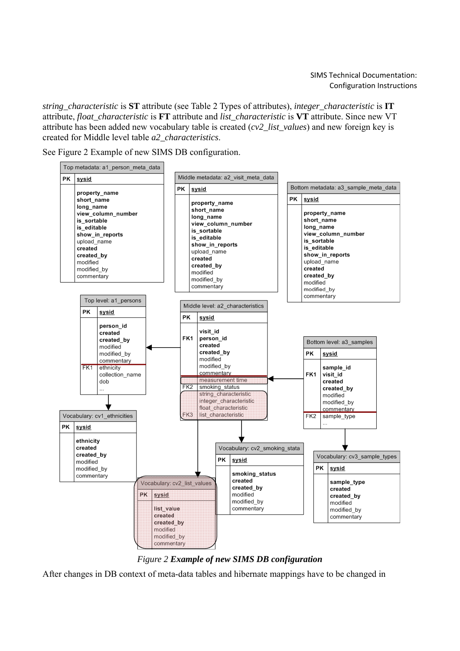*string\_characteristic* is **ST** attribute (see Table 2 Types of attributes), *integer\_characteristic* is **IT** attribute, *float\_characteristic* is **FT** attribute and *list\_characteristic* is **VT** attribute. Since new VT attribute has been added new vocabulary table is created (*cv2\_list\_values*) and new foreign key is created for Middle level table *a2\_characteristics*.

See Figure 2 Example of new SIMS DB configuration.





After changes in DB context of meta-data tables and hibernate mappings have to be changed in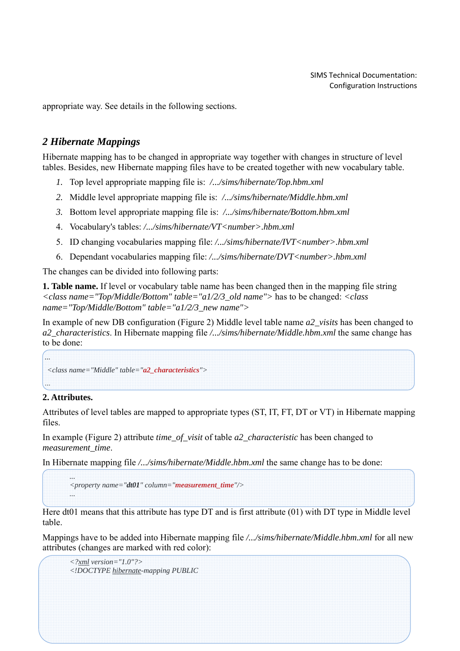appropriate way. See details in the following sections.

# *2 Hibernate Mappings*

Hibernate mapping has to be changed in appropriate way together with changes in structure of level tables. Besides, new Hibernate mapping files have to be created together with new vocabulary table.

- *1.* Top level appropriate mapping file is: */.../sims/hibernate/Top.hbm.xml*
- *2.* Middle level appropriate mapping file is: */.../sims/hibernate/Middle.hbm.xml*
- *3.* Bottom level appropriate mapping file is: */.../sims/hibernate/Bottom.hbm.xml*
- 4. Vocabulary's tables: */.../sims/hibernate/VT<number>.hbm.xml*
- 5. ID changing vocabularies mapping file: */.../sims/hibernate/IVT<number>.hbm.xml*
- 6. Dependant vocabularies mapping file: */.../sims/hibernate/DVT<number>.hbm.xml*

The changes can be divided into following parts:

**1. Table name.** If level or vocabulary table name has been changed then in the mapping file string *<class name="Top/Middle/Bottom" table="a1/2/3\_old name">* has to be changed: *<class name="Top/Middle/Bottom" table="a1/2/3\_new name">* 

In example of new DB configuration (Figure 2) Middle level table name *a2\_visits* has been changed to *a2\_characteristics*. In Hibernate mapping file */.../sims/hibernate/Middle.hbm.xml* the same change has to be done:

```
<class name="Middle" table="a2_characteristics">
```
# **2. Attributes.**

...

Attributes of level tables are mapped to appropriate types (ST, IT, FT, DT or VT) in Hibernate mapping files.

In example (Figure 2) attribute *time\_of\_visit* of table *a2\_characteristic* has been changed to *measurement\_time*.

In Hibernate mapping file */.../sims/hibernate/Middle.hbm.xml* the same change has to be done:

```
... 
<property name="dt01" column="measurement_time"/> 
...
```
Here dt01 means that this attribute has type DT and is first attribute (01) with DT type in Middle level table.

Mappings have to be added into Hibernate mapping file */.../sims/hibernate/Middle.hbm.xml* for all new attributes (changes are marked with red color):

```
<?xml version="1.0"?> 
<!DOCTYPE hibernate-mapping PUBLIC
```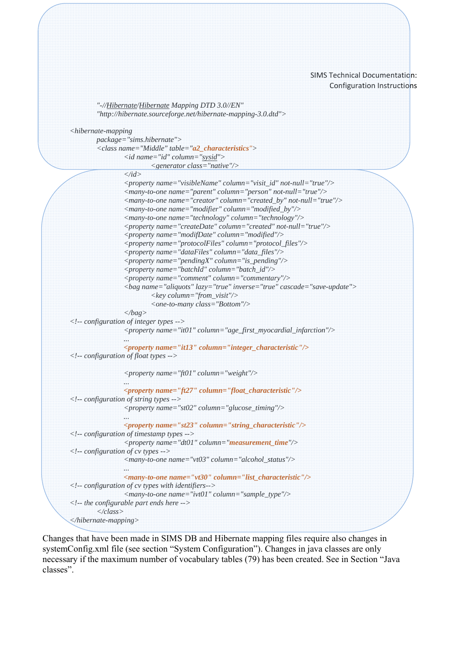```
 "-//Hibernate/Hibernate Mapping DTD 3.0//EN" 
         "http://hibernate.sourceforge.net/hibernate-mapping-3.0.dtd"> 
<hibernate-mapping 
         package="sims.hibernate"> 
         <class name="Middle" table="a2_characteristics"> 
                 <id name="id" column="sysid"> 
                         <generator class="native"/> 
                 </id> 
                 <property name="visibleName" column="visit_id" not-null="true"/> 
                 <many-to-one name="parent" column="person" not-null="true"/> 
                 <many-to-one name="creator" column="created_by" not-null="true"/> 
                 <many-to-one name="modifier" column="modified_by"/> 
                 <many-to-one name="technology" column="technology"/> 
                 <property name="createDate" column="created" not-null="true"/> 
                 <property name="modifDate" column="modified"/> 
                 <property name="protocolFiles" column="protocol_files"/> 
                 <property name="dataFiles" column="data_files"/> 
                 <property name="pendingX" column="is_pending"/> 
                 <property name="batchId" column="batch_id"/> 
                 <property name="comment" column="commentary"/> 
                 <bag name="aliquots" lazy="true" inverse="true" cascade="save-update"> 
                          <key column="from_visit"/> 
                          <one-to-many class="Bottom"/> 
                 </bag> 
<!-- configuration of integer types --> 
                 <property name="it01" column="age_first_myocardial_infarction"/> 
 ... 
                 <property name="it13" column="integer_characteristic"/> 
<!-- configuration of float types --> 
                 <property name="ft01" column="weight"/> 
 ... 
                 <property name="ft27" column="float_characteristic"/> 
<!-- configuration of string types --> 
                 <property name="st02" column="glucose_timing"/> 
 ... 
                 <property name="st23" column="string_characteristic"/> 
<!-- configuration of timestamp types --> 
                 <property name="dt01" column="measurement_time"/> 
<!-- configuration of cv types --> 
                 <many-to-one name="vt03" column="alcohol_status"/> 
 ... 
                 <many-to-one name="vt30" column="list_characteristic"/> 
<!-- configuration of cv types with identifiers--> 
                 <many-to-one name="ivt01" column="sample_type"/> 
<!-- the configurable part ends here --> 
         </class> 
</hibernate-mapping>
```
Changes that have been made in SIMS DB and Hibernate mapping files require also changes in systemConfig.xml file (see section "System Configuration"). Changes in java classes are only necessary if the maximum number of vocabulary tables (79) has been created. See in Section "Java classes".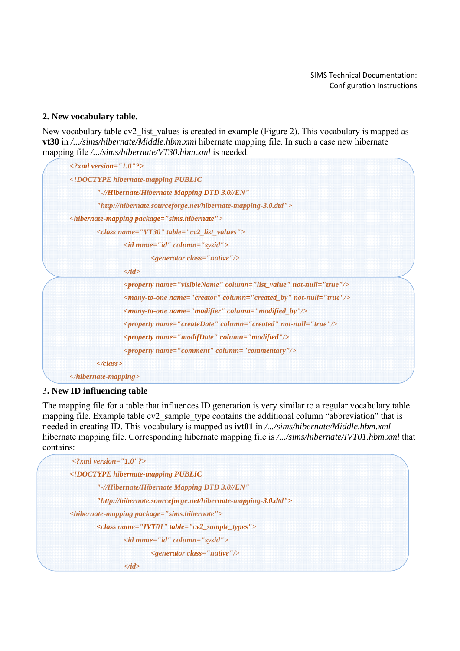### **2. New vocabulary table.**

New vocabulary table cv2 list values is created in example (Figure 2). This vocabulary is mapped as **vt30** in */.../sims/hibernate/Middle.hbm.xml* hibernate mapping file. In such a case new hibernate mapping file */.../sims/hibernate/VT30.hbm.xml* is needed:

| $\langle 2xml \, version = 'I.0'']$                                            |  |
|--------------------------------------------------------------------------------|--|
| hibernate-mapping PUBLIC</th <th></th>                                         |  |
| "-//Hibernate/Hibernate Mapping DTD 3.0//EN"                                   |  |
| "http://hibernate.sourceforge.net/hibernate-mapping-3.0.dtd">                  |  |
| <hibernate-mapping package="sims.hibernate"></hibernate-mapping>               |  |
| $\langle class name="VTS0" table="cv2_list_values"\rangle$                     |  |
| $\langle id \rangle$ name="id" column="sysid">                                 |  |
| $\leq$ generator class="native"/>                                              |  |
| $\langle \text{id} \rangle$                                                    |  |
| <property column="list_value" name="visibleName" not-null="true"></property>   |  |
| <many-to-one column="created_by" name="creator" not-null="true"></many-to-one> |  |
| <many-to-one column="modified_by" name="modifier"></many-to-one>               |  |
| <property column="created" name="createDate" not-null="true"></property>       |  |
| $\langle$ property name="modifDate" column="modified"/>                        |  |
| $\langle$ property name="comment" column="commentary"/>                        |  |
| $\langle class \rangle$                                                        |  |
| $\langle$ hibernate-mapping>                                                   |  |

### 3**. New ID influencing table**

The mapping file for a table that influences ID generation is very similar to a regular vocabulary table mapping file. Example table cv2\_sample\_type contains the additional column "abbreviation" that is needed in creating ID. This vocabulary is mapped as **ivt01** in */.../sims/hibernate/Middle.hbm.xml*  hibernate mapping file. Corresponding hibernate mapping file is */.../sims/hibernate/IVT01.hbm.xml* that contains:

| $\langle 2xml \, version = "1.0" ? \rangle$                     |  |
|-----------------------------------------------------------------|--|
| hibernate-mapping PUBLIC</td <td></td>                          |  |
| "-//Hibernate/Hibernate Mapping DTD 3.0//EN"                    |  |
| "http://hibernate.sourceforge.net/hibernate-mapping-3.0.dtd">   |  |
| $\langle$ hibernate-mapping package="sims.hibernate">           |  |
| $\langle class name='IVTOI'' table='cv2 sample types'' \rangle$ |  |
| $\langle$ id name="id" column="sysid">                          |  |
| $\leq$ generator class="native"/>                               |  |
| $\langle \text{id} \rangle$                                     |  |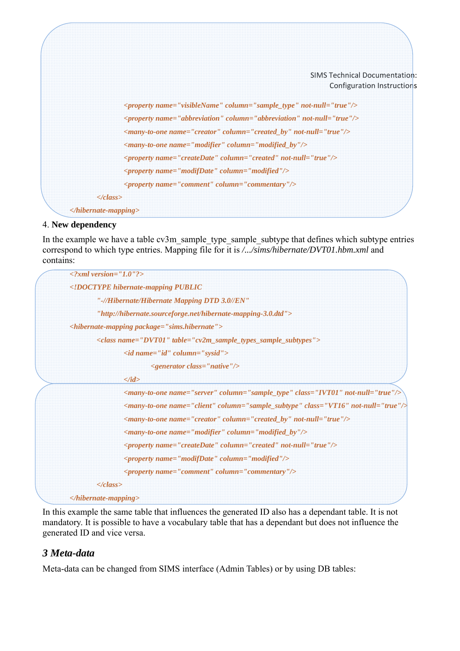

### 4. **New dependency**

In the example we have a table cv3m\_sample\_type\_sample\_subtype that defines which subtype entries correspond to which type entries. Mapping file for it is */.../sims/hibernate/DVT01.hbm.xml* and contains:

| $\langle 2xml \, version = "1.0"2 \rangle$                                                     |
|------------------------------------------------------------------------------------------------|
| hibernate-mapping PUBLIC</td                                                                   |
| "-//Hibernate/Hibernate Mapping DTD 3.0//EN"                                                   |
| "http://hibernate.sourceforge.net/hibernate-mapping-3.0.dtd">                                  |
| <hibernate-mapping package="sims.hibernate"></hibernate-mapping>                               |
| <class name="DVT01" table="cv2m_sample_types_sample_subtypes"></class>                         |
| $\langle id \text{ name} = "id" \text{ column} = "sysid" \rangle$                              |
| $\leq$ generator class="native"/>                                                              |
| $\langle \text{id} \rangle$                                                                    |
|                                                                                                |
| <many-to-one class="VT16" column="sample_subtype" name="client" not-null="true"></many-to-one> |
| <many-to-one column="created_by" name="creator" not-null="true"></many-to-one>                 |
| $\langle$ many-to-one name="modifier" column="modified_by"/>                                   |
| $\langle$ property name="createDate" column="created" not-null="true"/>                        |
| $\langle$ property name="modifDate" column="modified"/>                                        |
| <property column="commentary" name="comment"></property>                                       |
| $\langle class \rangle$                                                                        |
| $\langle$ hibernate-mapping>                                                                   |

In this example the same table that influences the generated ID also has a dependant table. It is not mandatory. It is possible to have a vocabulary table that has a dependant but does not influence the generated ID and vice versa.

# *3 Meta-data*

Meta-data can be changed from SIMS interface (Admin Tables) or by using DB tables: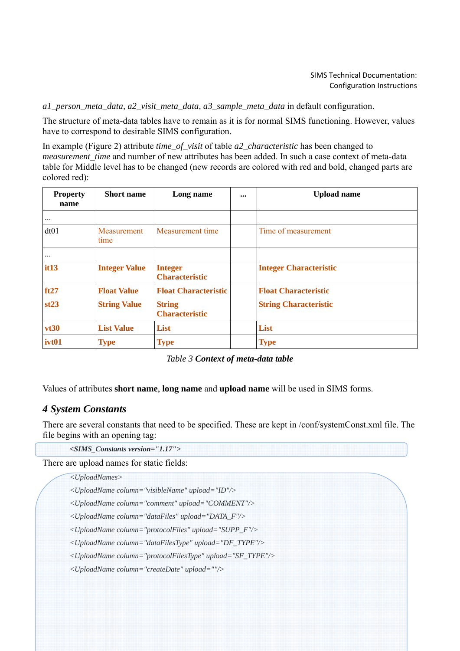*a1\_person\_meta\_data, a2\_visit\_meta\_data, a3\_sample\_meta\_data* in default configuration.

The structure of meta-data tables have to remain as it is for normal SIMS functioning. However, values have to correspond to desirable SIMS configuration.

In example (Figure 2) attribute *time\_of\_visit* of table *a2\_characteristic* has been changed to *measurement time and number of new attributes has been added. In such a case context of meta-data* table for Middle level has to be changed (new records are colored with red and bold, changed parts are colored red):

| <b>Property</b><br>name | <b>Short name</b>    | Long name                               | <br><b>Upload name</b>        |
|-------------------------|----------------------|-----------------------------------------|-------------------------------|
| $\cdots$                |                      |                                         |                               |
| dt01                    | Measurement<br>time  | Measurement time                        | Time of measurement           |
| $\cdots$                |                      |                                         |                               |
| it13                    | <b>Integer Value</b> | <b>Integer</b><br><b>Characteristic</b> | <b>Integer Characteristic</b> |
| ft27                    | <b>Float Value</b>   | <b>Float Characteristic</b>             | <b>Float Characteristic</b>   |
| st23                    | <b>String Value</b>  | <b>String</b><br><b>Characteristic</b>  | <b>String Characteristic</b>  |
| vt30                    | <b>List Value</b>    | List                                    | List                          |
| ivt01                   | <b>Type</b>          | <b>Type</b>                             | <b>Type</b>                   |

*Table 3 Context of meta-data table*

Values of attributes **short name**, **long name** and **upload name** will be used in SIMS forms.

# *4 System Constants*

There are several constants that need to be specified. These are kept in /conf/systemConst.xml file. The file begins with an opening tag:

*<SIMS\_Constants version="1.17">* 

There are upload names for static fields:

```
<UploadNames>
```
*<UploadName column="visibleName" upload="ID"/>* 

*<UploadName column="comment" upload="COMMENT"/>* 

*<UploadName column="dataFiles" upload="DATA\_F"/>* 

*<UploadName column="protocolFiles" upload="SUPP\_F"/>* 

*<UploadName column="dataFilesType" upload="DF\_TYPE"/>* 

*<UploadName column="protocolFilesType" upload="SF\_TYPE"/>* 

*<UploadName column="createDate" upload=""/>*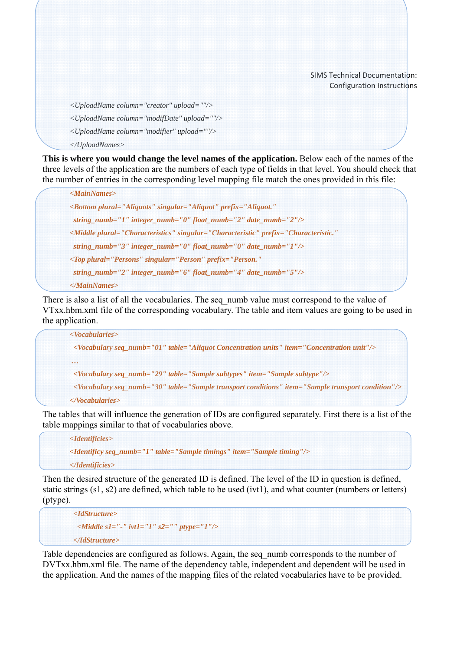*<UploadName column="creator" upload=""/>* 

- *<UploadName column="modifDate" upload=""/>*
- *<UploadName column="modifier" upload=""/>*
- *</UploadNames>*

**This is where you would change the level names of the application.** Below each of the names of the three levels of the application are the numbers of each type of fields in that level. You should check that the number of entries in the corresponding level mapping file match the ones provided in this file:

```
<MainNames> 
<Bottom plural="Aliquots" singular="Aliquot" prefix="Aliquot." 
  string_numb="1" integer_numb="0" float_numb="2" date_numb="2"/> 
<Middle plural="Characteristics" singular="Characteristic" prefix="Characteristic." 
  string_numb="3" integer_numb="0" float_numb="0" date_numb="1"/> 
<Top plural="Persons" singular="Person" prefix="Person." 
  string_numb="2" integer_numb="6" float_numb="4" date_numb="5"/> 
</MainNames>
```
There is also a list of all the vocabularies. The seq numb value must correspond to the value of VTxx.hbm.xml file of the corresponding vocabulary. The table and item values are going to be used in the application.

*<Vocabularies> <Vocabulary seq\_numb="01" table="Aliquot Concentration units" item="Concentration unit"/> … <Vocabulary seq\_numb="29" table="Sample subtypes" item="Sample subtype"/> <Vocabulary seq\_numb="30" table="Sample transport conditions" item="Sample transport condition"/> </Vocabularies>* 

The tables that will influence the generation of IDs are configured separately. First there is a list of the table mappings similar to that of vocabularies above.

*<Identificies> <Identificy seq\_numb="1" table="Sample timings" item="Sample timing"/> </Identificies>* 

Then the desired structure of the generated ID is defined. The level of the ID in question is defined, static strings (s1, s2) are defined, which table to be used (ivt1), and what counter (numbers or letters) (ptype).

```
 <IdStructure> 
  <Middle s1="-" ivt1="1" s2="" ptype="1"/> 
 </IdStructure>
```
Table dependencies are configured as follows. Again, the seq\_numb corresponds to the number of DVTxx.hbm.xml file. The name of the dependency table, independent and dependent will be used in the application. And the names of the mapping files of the related vocabularies have to be provided.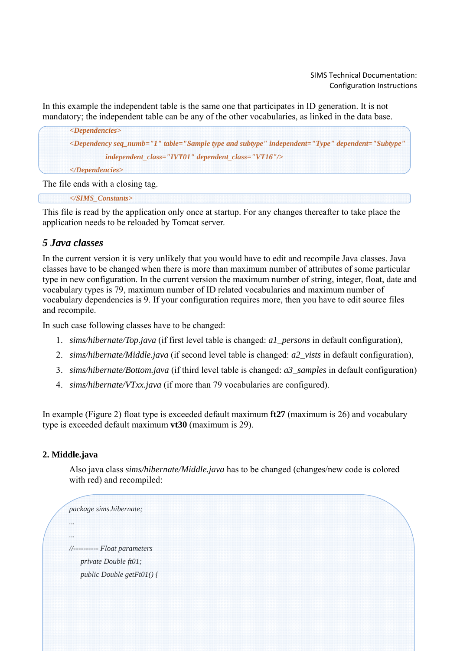In this example the independent table is the same one that participates in ID generation. It is not mandatory; the independent table can be any of the other vocabularies, as linked in the data base.

*<Dependencies> <Dependency seq\_numb="1" table="Sample type and subtype" independent="Type" dependent="Subtype" independent\_class="IVT01" dependent\_class="VT16"/> </Dependencies>* 

The file ends with a closing tag.

*</SIMS\_Constants>* 

This file is read by the application only once at startup. For any changes thereafter to take place the application needs to be reloaded by Tomcat server.

# *5 Java classes*

In the current version it is very unlikely that you would have to edit and recompile Java classes. Java classes have to be changed when there is more than maximum number of attributes of some particular type in new configuration. In the current version the maximum number of string, integer, float, date and vocabulary types is 79, maximum number of ID related vocabularies and maximum number of vocabulary dependencies is 9. If your configuration requires more, then you have to edit source files and recompile.

In such case following classes have to be changed:

- 1. *sims/hibernate/Top.java* (if first level table is changed: *a1\_persons* in default configuration),
- 2. *sims/hibernate/Middle.java* (if second level table is changed: *a2\_vists* in default configuration),
- 3. *sims/hibernate/Bottom.java* (if third level table is changed: *a3\_samples* in default configuration)
- 4. *sims/hibernate/VTxx.java* (if more than 79 vocabularies are configured).

In example (Figure 2) float type is exceeded default maximum **ft27** (maximum is 26) and vocabulary type is exceeded default maximum **vt30** (maximum is 29).

### **2. Middle.java**

Also java class *sims/hibernate/Middle.java* has to be changed (changes/new code is colored with red) and recompiled:

```
package sims.hibernate; 
... 
... 
//---------- Float parameters 
    private Double ft01; 
    public Double getFt01() {
```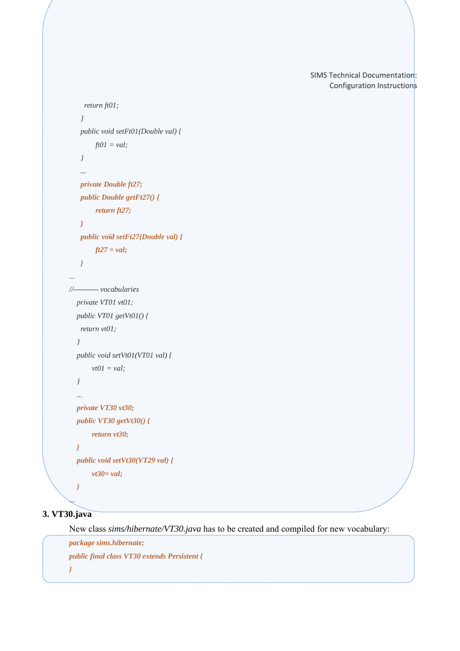```
 return ft01; 
     } 
     public void setFt01(Double val) { 
          ft01 = val; 
     } 
     ... 
     private Double ft27; 
     public Double getFt27() { 
          return ft27; 
     } 
     public void setFt27(Double val) { 
          ft27 = val; 
     } 
... 
//---------- vocabularies 
   private VT01 vt01; 
   public VT01 getVt01() { 
     return vt01; 
    } 
   public void setVt01(VT01 val) { 
         vt01 = val; 
    } 
   ... 
   private VT30 vt30; 
   public VT30 getVt30() { 
         return vt30; 
   } 
   public void setVt30(VT29 val) { 
         vt30= val; 
    }
```
# **3. VT30.java**

*...* 

New class *sims/hibernate/VT30.java* has to be created and compiled for new vocabulary:

*package sims.hibernate; public final class VT30 extends Persistent { }*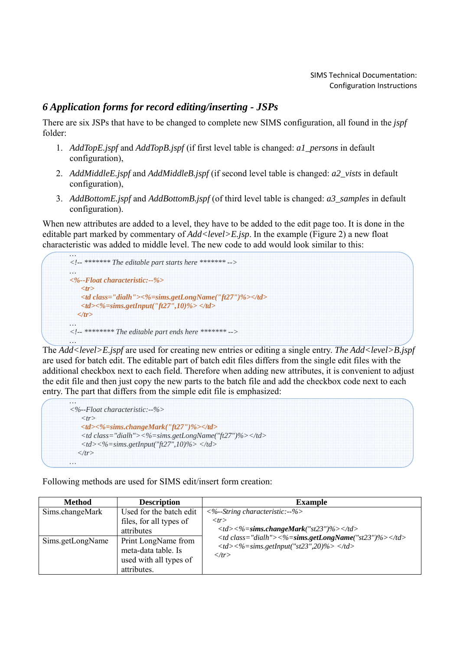# *6 Application forms for record editing/inserting - JSPs*

There are six JSPs that have to be changed to complete new SIMS configuration, all found in the *jspf* folder:

- 1. *AddTopE.jspf* and *AddTopB.jspf* (if first level table is changed: *a1\_persons* in default configuration),
- 2. *AddMiddleE.jspf* and *AddMiddleB.jspf* (if second level table is changed: *a2\_vists* in default configuration),
- 3. *AddBottomE.jspf* and *AddBottomB.jspf* (of third level table is changed: *a3\_samples* in default configuration).

When new attributes are added to a level, they have to be added to the edit page too. It is done in the editable part marked by commentary of *Add<level>E.jsp*. In the example (Figure 2) a new float characteristic was added to middle level. The new code to add would look similar to this:



The *Add<level>E.jspf* are used for creating new entries or editing a single entry. *The Add<level>B.jspf* are used for batch edit. The editable part of batch edit files differs from the single edit files with the additional checkbox next to each field. Therefore when adding new attributes, it is convenient to adjust the edit file and then just copy the new parts to the batch file and add the checkbox code next to each entry. The part that differs from the simple edit file is emphasized:

| $\langle\% -$ Float characteristic:--%>                                                  |                               |
|------------------------------------------------------------------------------------------|-------------------------------|
| $\langle tr \rangle$                                                                     |                               |
| <td>&lt;%=sims.changeMark("ft27")%&gt;</td>                                              | <%=sims.changeMark("ft27")%>  |
| <td class="dialh">&lt;%=sims.getLongName("ft27")%&gt;</td>                               | <%=sims.getLongName("ft27")%> |
| $\langle tdc \rangle < \frac{9}{2} \sin s. getInput("ft27", 10)\% > \langle tdc \rangle$ |                               |
| $\langle$ /tr>                                                                           |                               |

Following methods are used for SIMS edit/insert form creation:

| <b>Method</b>    | <b>Description</b>                                                                  | <b>Example</b>                                                                                                                                                                                                                                                |                               |
|------------------|-------------------------------------------------------------------------------------|---------------------------------------------------------------------------------------------------------------------------------------------------------------------------------------------------------------------------------------------------------------|-------------------------------|
| Sims.changeMark  | Used for the batch edit<br>files, for all types of<br>attributes                    | $\langle\%$ --String characteristic:--%><br>$\langle tr \rangle$<br>$\langle t \cdot d \rangle \langle \frac{\partial \phi}{\partial s} = -\frac{\partial \phi}{\partial s} \rangle$ single Mark("st23")%> $\langle \frac{\partial \phi}{\partial s} \rangle$ |                               |
| Sims.getLongName | Print LongName from<br>meta-data table. Is<br>used with all types of<br>attributes. | <td class="dialh">&lt;%=sims.getLongName("st23")%&gt;</td><br>$\langle t \, d \rangle \langle \frac{9}{6} \rangle = \langle t \, d \rangle$ sims.getInput("st23",20)% $\langle \frac{1}{6} \rangle$<br>$\langle t \rangle$                                    | <%=sims.getLongName("st23")%> |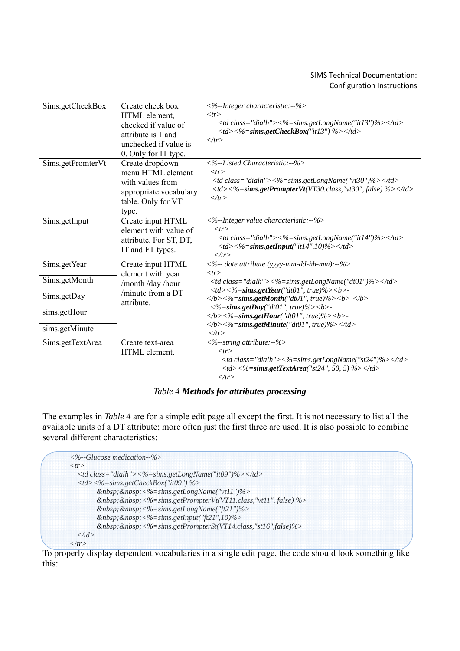| Sims.getCheckBox  | Create check box       | $\langle\%$ -Integer characteristic:--%>                                                                                                                                                        |                               |
|-------------------|------------------------|-------------------------------------------------------------------------------------------------------------------------------------------------------------------------------------------------|-------------------------------|
|                   | HTML element,          | $<$ tr $>$                                                                                                                                                                                      |                               |
|                   | checked if value of    | $\langle t \rangle$ class="dialh"><%=sims.getLongName("it13")%> $\langle t \rangle$ d>                                                                                                          |                               |
|                   | attribute is 1 and     | $\langle t \cdot d \rangle \langle \frac{\partial \phi}{\partial s} = -\frac{\partial \phi}{\partial s} \rangle$ subset CheckBox("it 13") %> $\langle \frac{\partial \phi}{\partial s} \rangle$ |                               |
|                   | unchecked if value is  | $\langle \rangle$ tr $>$                                                                                                                                                                        |                               |
|                   | 0. Only for IT type.   |                                                                                                                                                                                                 |                               |
|                   |                        | $\langle\%$ -Listed Characteristic:--%>                                                                                                                                                         |                               |
| Sims.getPromterVt | Create dropdown-       |                                                                                                                                                                                                 |                               |
|                   | menu HTML element      | $<$ tr $>$                                                                                                                                                                                      |                               |
|                   | with values from       | <td class="dialh">&lt;%=sims.getLongName("vt30")%&gt;</td>                                                                                                                                      | <%=sims.getLongName("vt30")%> |
|                   | appropriate vocabulary | $\langle t \, d \rangle \langle \frac{\partial \phi}{\partial s} \rangle = \langle t \, d \rangle$ simpsing the Prompter Vt (VT30.class, "vt30", false) %> $\langle t \, d \rangle$             |                               |
|                   | table. Only for VT     | $\langle \rangle$ tr $>$                                                                                                                                                                        |                               |
|                   | type.                  |                                                                                                                                                                                                 |                               |
| Sims.getInput     | Create input HTML      | <%--Integer value characteristic:--%>                                                                                                                                                           |                               |
|                   | element with value of  | $<$ tr $>$                                                                                                                                                                                      |                               |
|                   |                        | $\langle t \rangle$ class="dialh"><%=sims.getLongName("it14")%> $\langle t \rangle$                                                                                                             |                               |
|                   | attribute. For ST, DT, | $\langle 1d \rangle \langle 0 \rangle = \langle 0   0 \rangle$ sims.getInput("it14",10)% $\langle 1 d \rangle$                                                                                  |                               |
|                   | IT and FT types.       | $\langle \rangle$ tr $>$                                                                                                                                                                        |                               |
| Sims.getYear      | Create input HTML      | $\langle$ %-- date attribute (yyyy-mm-dd-hh-mm):--%>                                                                                                                                            |                               |
|                   | element with year      | $<$ tr $>$                                                                                                                                                                                      |                               |
| Sims.getMonth     |                        | <td class="dialh">&lt;%=sims.getLongName("dt01")%&gt;</td>                                                                                                                                      | <%=sims.getLongName("dt01")%> |
|                   | /month /day /hour      | $\langle 12 \rangle \langle 02 \rangle = \langle 02 \rangle$ sims.getYear("dt01", true)% > < b >                                                                                                |                               |
| Sims.getDay       | /minute from a DT      | $\langle b \rangle$ <%=sims.getMonth("dt01", true)%> <b>-</b>                                                                                                                                   |                               |
|                   | attribute.             | $\langle %=sims.getDay("dt01", true)\%>\langle$                                                                                                                                                 |                               |
| sims.getHour      |                        | $\langle b \rangle \langle \frac{1}{2}$ = sims.getHour("dt01", true)%> < b>-                                                                                                                    |                               |
|                   |                        | $\langle b \rangle \langle \frac{y}{z} \rangle = \langle b \rangle \langle \frac{y}{z} \rangle$ = sims.getMinute("dt01", true)% > $\langle \frac{dz}{z} \rangle$                                |                               |
| sims.getMinute    |                        | $\langle \Delta tr \rangle$                                                                                                                                                                     |                               |
|                   |                        |                                                                                                                                                                                                 |                               |
| Sims.getTextArea  | Create text-area       | $\langle\% - \text{string attribute}\rangle$ :-%>                                                                                                                                               |                               |
|                   | HTML element.          | $<$ tr $>$                                                                                                                                                                                      |                               |
|                   |                        | $\langle t \rangle$ class="dialh"><%=sims.getLongName("st24")%> $\langle t \rangle$ d>                                                                                                          |                               |
|                   |                        | $\langle 1d \rangle \langle 0  \langle 0  \rangle \langle 0  \rangle = \langle 1d \rangle$ states and TextArea("st24", 50, 5) %>                                                                |                               |
|                   |                        | $\langle t \rangle$                                                                                                                                                                             |                               |

*Table 4 Methods for attributes processing*

The examples in *Table 4* are for a simple edit page all except the first. It is not necessary to list all the available units of a DT attribute; more often just the first three are used. It is also possible to combine several different characteristics:

```
<%--Glucose medication--%> 
<tr> 
   <td class="dialh"><%=sims.getLongName("it09")%></td> 
   <td><%=sims.getCheckBox("it09") %> 
        &nbsp;&nbsp;<%=sims.getLongName("vt11")%> 
        &nbsp;&nbsp;<%=sims.getPrompterVt(VT11.class,"vt11", false) %> 
        &nbsp;&nbsp;<%=sims.getLongName("ft21")%> 
        &nbsp;&nbsp;<%=sims.getInput("ft21",10)%> 
        &nbsp;&nbsp;<%=sims.getPrompterSt(VT14.class,"st16",false)%> 
   </td> 
</tr>
```
To properly display dependent vocabularies in a single edit page, the code should look something like this: